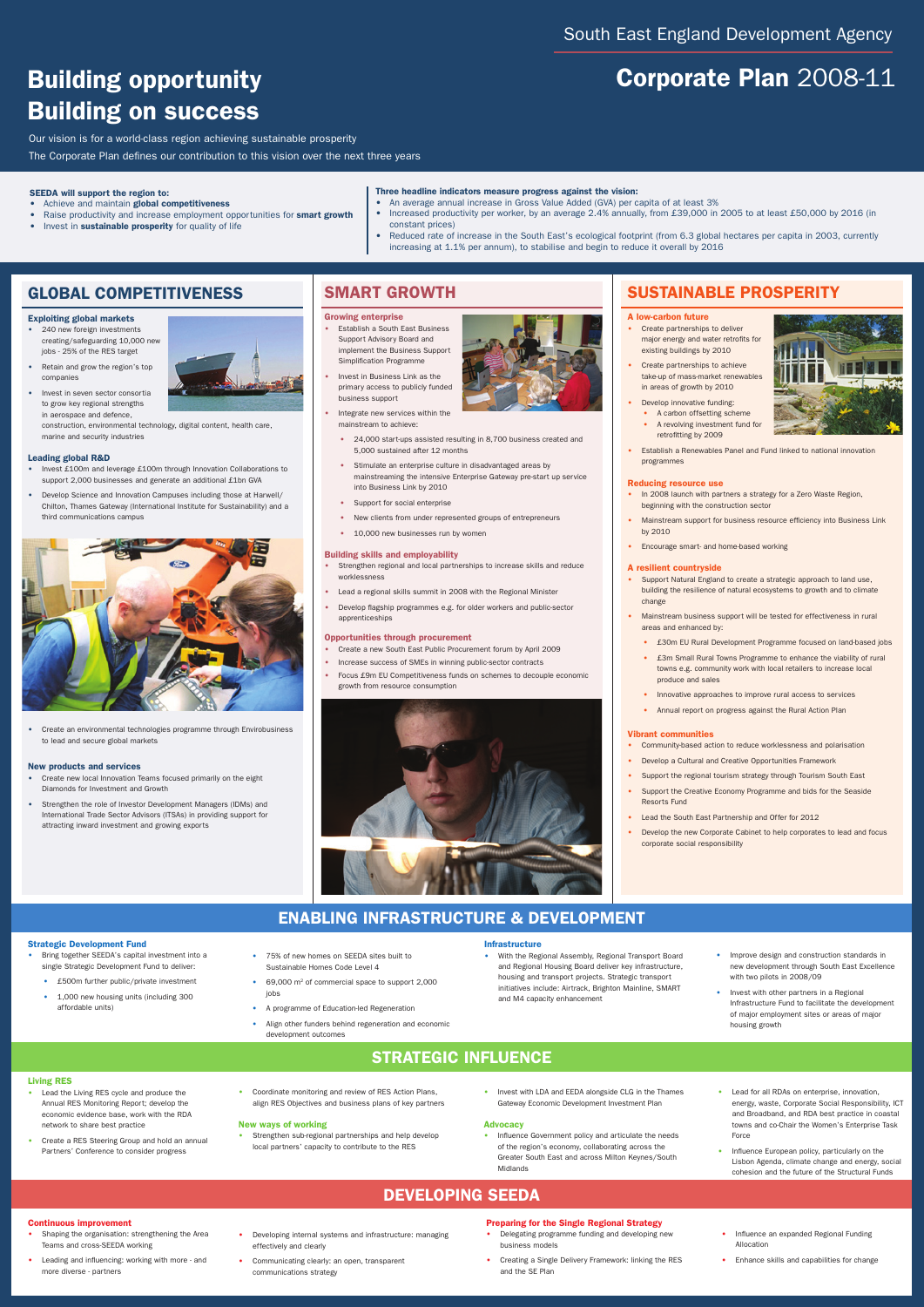# Corporate Plan 2008-11

## Global competitiveness

## Exploiting global markets

- 240 new foreign investments creating/safeguarding 10,000 new jobs - 25% of the RES target
- Retain and grow the region's top companies
- Invest in seven sector consortia to grow key regional strengths in aerospace and defence,

construction, environmental technology, digital content, health care, marine and security industries

## Leading global R&D

- Invest £100m and leverage £100m through Innovation Collaborations to support 2,000 businesses and generate an additional £1bn GVA
- Develop Science and Innovation Campuses including those at Harwell/ Chilton, Thames Gateway (International Institute for Sustainability) and a third communications campus





## **SMART GROWTH**

• Create an environmental technologies programme through Envirobusiness to lead and secure global markets

## New products and services

- Create new local Innovation Teams focused primarily on the eight Diamonds for Investment and Growth
- Strengthen the role of Investor Development Managers (IDMs) and International Trade Sector Advisors (ITSAs) in providing support for attracting inward investment and growing exports



## Growing enterprise

- **Establish a South East Business** Support Advisory Board and implement the Business Support Simplification Programme
- Invest in Business Link as the primary access to publicly funded business support
- Integrate new services within the mainstream to achieve:
	- 24,000 start-ups assisted resulting in 8,700 business created and 5,000 sustained after 12 months
	- Stimulate an enterprise culture in disadvantaged areas by mainstreaming the intensive Enterprise Gateway pre-start up service into Business Link by 2010
	- Support for social enterprise
	- New clients from under represented groups of entrepreneurs
	- 10,000 new businesses run by women
- Create partnerships to deliver major energy and water retrofits for existing buildings by 2010
- Create partnerships to achieve take-up of mass-market renewables in areas of growth by 2010
- Develop innovative funding:
	- A carbon offsetting scheme
	- A revolving investment fund for retrofitting by 2009
- Establish a Renewables Panel and Fund linked to national innovation programmes

## Building skills and employability

- Strengthen regional and local partnerships to increase skills and reduce worklessness
- Lead a regional skills summit in 2008 with the Regional Minister
- Develop flagship programmes e.g. for older workers and public-sector apprenticeships

## Opportunities through procurement

- Create a new South East Public Procurement forum by April 2009
- Increase success of SMEs in winning public-sector contracts
- Focus £9m EU Competitiveness funds on schemes to decouple economic growth from resource consumption



## Sustainable prosperity

## A low-carbon future

- An average annual increase in Gross Value Added (GVA) per capita of at least 3%
- Increased productivity per worker, by an average 2.4% annually, from £39,000 in 2005 to at least £50,000 by 2016 (in constant prices)
- Reduced rate of increase in the South East's ecological footprint (from 6.3 global hectares per capita in 2003, currently increasing at 1.1% per annum), to stabilise and begin to reduce it overall by 2016

- Lead the Living RES cycle and produce the Annual RES Monitoring Report; develop the economic evidence base, work with the RDA network to share best practice
- Create a RES Steering Group and hold an annual Partners' Conference to consider progress
- Coordinate monitoring and review of RES Action Plans, align RES Objectives and business plans of key partners

## Reducing resource use

- Shaping the organisation: strengthening the Area Teams and cross-SEEDA working
- Leading and influencing: working with more and more diverse - partners
- Developing internal systems and infrastructure: managing effectively and clearly
- Communicating clearly: an open, transparent communications strategy
- In 2008 launch with partners a strategy for a Zero Waste Region, beginning with the construction sector
- Mainstream support for business resource efficiency into Business Link by 2010
- Encourage smart- and home-based working

## A resilient countryside

- Support Natural England to create a strategic approach to land use, building the resilience of natural ecosystems to growth and to climate change
- Mainstream business support will be tested for effectiveness in rural areas and enhanced by:
	- £30m EU Rural Development Programme focused on land-based jobs
	- £3m Small Rural Towns Programme to enhance the viability of rural towns e.g. community work with local retailers to increase local produce and sales
	- Innovative approaches to improve rural access to services



- Strengthen sub-regional partnerships and help develop local partners' capacity to contribute to the RES
- Invest with LDA and EEDA alongside CLG in the Thames Gateway Economic Development Investment Plan

• Annual report on progress against the Rural Action Plan

### Vibrant communities

- Community-based action to reduce worklessness and polarisation
- Develop a Cultural and Creative Opportunities Framework
- Support the regional tourism strategy through Tourism South East
- Support the Creative Economy Programme and bids for the Seaside Resorts Fund
- Lead the South East Partnership and Offer for 2012
- Develop the new Corporate Cabinet to help corporates to lead and focus corporate social responsibility

## Living RES

## Continuous improvement

Our vision is for a world-class region achieving sustainable prosperity

The Corporate Plan defines our contribution to this vision over the next three years

## Developing SEEDA

## SEEDA will support the region to:

- Achieve and maintain global competitiveness
- Raise productivity and increase employment opportunities for **smart growth**
- Invest in sustainable prosperity for quality of life

## Three headline indicators measure progress against the vision:

# Building opportunity Building on success

### New ways of working

### Strategic Development Fund

- Bring together SEEDA's capital investment into a single Strategic Development Fund to deliver:
	- £500m further public/private investment
	- 1,000 new housing units (including 300 affordable units)
- 75% of new homes on SEEDA sites built to Sustainable Homes Code Level 4
- 69,000 m<sup>2</sup> of commercial space to support 2,000 jobs
- A programme of Education-led Regeneration
- Align other funders behind regeneration and economic development outcomes

### Infrastructure

- With the Regional Assembly, Regional Transport Board and Regional Housing Board deliver key infrastructure, housing and transport projects. Strategic transport initiatives include: Airtrack, Brighton Mainline, SMART and M4 capacity enhancement
- Improve design and construction standards in new development through South East Excellence with two pilots in 2008/09
- Invest with other partners in a Regional Infrastructure Fund to facilitate the development of major employment sites or areas of major housing growth

## **STRATEGIC INFLUENCE**

## Advocacy

- Influence Government policy and articulate the needs of the region's economy, collaborating across the Greater South East and across Milton Keynes/South Midlands
- Lead for all RDAs on enterprise, innovation, energy, waste, Corporate Social Responsibility, ICT and Broadband, and RDA best practice in coastal towns and co-Chair the Women's Enterprise Task Force
- Influence European policy, particularly on the Lisbon Agenda, climate change and energy, social cohesion and the future of the Structural Funds

## Preparing for the Single Regional Strategy

- Delegating programme funding and developing new business models
- Creating a Single Delivery Framework: linking the RES and the SE Plan
- Influence an expanded Regional Funding Allocation
- Enhance skills and capabilities for change

## Enabling Infrastructure & Development